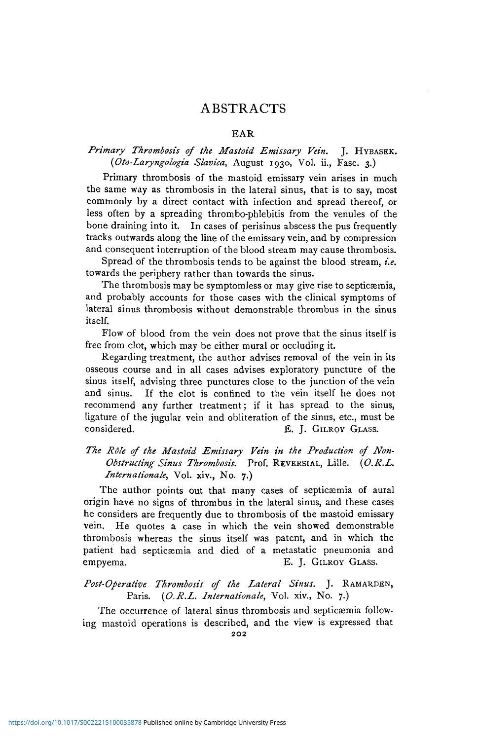## ABSTRACTS

#### EAR

### *Primary Thrombosis of the Mastoid Emissary Vein.* J. HYBASEK. *(Oto-Laryngologia Slavica,* August 1930, Vol. ii., Fasc. 3.)

Primary thrombosis of the mastoid emissary vein arises in much the same way as thrombosis in the lateral sinus, that is to say, most commonly by a direct contact with infection and spread thereof, or less often by a spreading thrombo-phlebitis from the venules of the bone draining into it. In cases of perisinus abscess the pus frequently tracks outwards along the line of the emissary vein, and by compression and consequent interruption of the blood stream may cause thrombosis.

Spread of the thrombosis tends to be against the blood stream, *i.e.* towards the periphery rather than towards the sinus.

The thrombosis may be symptomless or may give rise to septicamia, and probably accounts for those cases with the clinical symptoms of lateral sinus thrombosis without demonstrable thrombus in the sinus itself.

Flow of blood from the vein does not prove that the sinus itself is free from clot, which may be either mural or occluding it.

Regarding treatment, the author advises removal of the vein in its osseous course and in all cases advises exploratory puncture of the sinus itself, advising three punctures close to the junction of the vein and sinus. If the clot is confined to the vein itself he does not recommend any further treatment; if it has spread to the sinus, ligature of the jugular vein and obliteration of the sinus, etc., must be considered. E. J. GILROY GLASS.

## *The Rdle of the Mastoid Emissary Vein in the Production of Non-Obstructing Sinus Thrombosis.* Prof. REVERSIAL, Lille. *{O.R.L. Internationale,* Vol. xiv., No. 7.)

The author points out that many cases of septicæmia of aural origin have no signs of thrombus in the lateral sinus, and these cases he considers are frequently due to thrombosis of the mastoid emissary vein. He quotes a case in which the vein showed demonstrable thrombosis whereas the sinus itself was patent, and in which the patient had septicaemia and died of a metastatic pneumonia and empyema. E. J. GILROY GLASS.

## *Post-Operative Thrombosis of the Lateral Sinus.* J. RAMARDEN, Paris. *{O.R.L. Internationale,* Vol. xiv., No. 7.)

The occurrence of lateral sinus thrombosis and septicaemia following mastoid operations is described, and the view is expressed that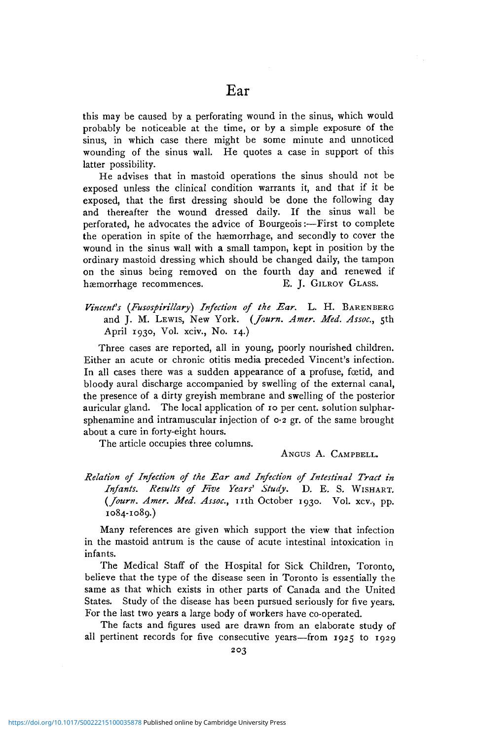this may be caused by a perforating wound in the sinus, which would probably be noticeable at the time, or by a simple exposure of the sinus, in which case there might be some minute and unnoticed wounding of the sinus wall. He quotes a case in support of this latter possibility.

He advises that in mastoid operations the sinus should not be exposed unless the clinical condition warrants it, and that if it be exposed, that the first dressing should be done the following day and thereafter the wound dressed daily. If the sinus wall be perforated, he advocates the advice of Bourgeois:—First to complete the operation in spite of the haemorrhage, and secondly to cover the wound in the sinus wall with a small tampon, kept in position by the ordinary mastoid dressing which should be changed daily, the tampon on the sinus being removed on the fourth day and renewed if hæmorrhage recommences. E. J. GILROY GLASS.

*Vincent's (Fusospirillary) Infection of the Ear.* L. H. BARENBERG and J. M. LEWIS, New York. *(Journ. Amer. Med. Assoc,* 5th April 1930, Vol. xciv., No. 14.)

Three cases are reported, all in young, poorly nourished children. Either an acute or chronic otitis media preceded Vincent's infection. In all cases there was a sudden appearance of a profuse, foetid, and bloody aural discharge accompanied by swelling of the external canal, the presence of a dirty greyish membrane and swelling of the posterior auricular gland. The local application of 10 per cent, solution sulpharsphenamine and intramuscular injection of  $\circ$ -2 gr. of the same brought about a cure in forty-eight hours.

The article occupies three columns.

ANGUS A. CAMPBELL.

## *Relation of Infection of the Ear and Infection of Intestinal Tract in Infants. Results of Five Years' Study,* D. E. S. WISHART. *{Journ. Amer. Med. Assoc,* nt h October 1930. Vol. xcv., pp. 1084-1089.)

Many references are given which support the view that infection in the mastoid antrum is the cause of acute intestinal intoxication in infants.

The Medical Staff of the Hospital for Sick Children, Toronto, believe that the type of the disease seen in Toronto is essentially the same as that which exists in other parts of Canada and the United States. Study of the disease has been pursued seriously for five years. For the last two years a large body of workers have co-operated.

The facts and figures used are drawn from an elaborate study of all pertinent records for five consecutive years—from 1925 to 1929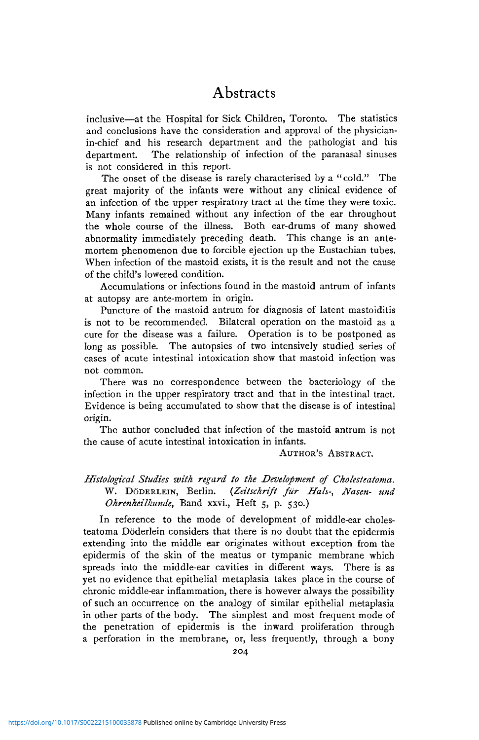inclusive—at the Hospital for Sick Children, Toronto. The statistics and conclusions have the consideration and approval of the physicianin-chief and his research department and the pathologist and his department. The relationship of infection of the paranasal sinuses is not considered in this report.

The onset of the disease is rarely characterised by a "cold." The great majority of the infants were without any clinical evidence of an infection of the upper respiratory tract at the time they were toxic. Many infants remained without any infection of the ear throughout the whole course of the illness. Both ear-drums of many showed abnormality immediately preceding death. This change is an antemortem phenomenon due to forcible ejection up the Eustachian tubes. When infection of the mastoid exists, it is the result and not the cause of the child's lowered condition.

Accumulations or infections found in the mastoid antrum of infants at autopsy are ante-mortem in origin.

Puncture of the mastoid antrum for diagnosis of latent mastoiditis is not to be recommended. Bilateral operation on the mastoid as a cure for the disease was a failure. Operation is to be postponed as long as possible. The autopsies of two intensively studied series of cases of acute intestinal intoxication show that mastoid infection was not common.

There was no correspondence between the bacteriology of the infection in the upper respiratory tract and that in the intestinal tract. Evidence is being accumulated to show that the disease is of intestinal origin.

The author concluded that infection of the mastoid antrum is not the cause of acute intestinal intoxication in infants.

#### AUTHOR'S ABSTRACT.

## *Histological Studies with regard to the Development of Cholesteatoma.* W. DODKRLEIN, Berlin. *(Zeitschrift filr Hals-, Nasen- und Ohrenheilkunde*, Band xxvi., Heft 5, p. 530.)

In reference to the mode of development of middle-ear cholesteatoma Doderlein considers that there is no doubt that the epidermis extending into the middle ear originates without exception from the epidermis of the skin of the meatus or tympanic membrane which spreads into the middle-ear cavities in different ways. There is as yet no evidence that epithelial metaplasia takes place in the course of chronic middle-ear inflammation, there is however always the possibility of such an occurrence on the analogy of similar epithelial metaplasia in other parts of the body. The simplest and most frequent mode of the penetration of epidermis is the inward proliferation through a perforation in the membrane, or, less frequently, through a bony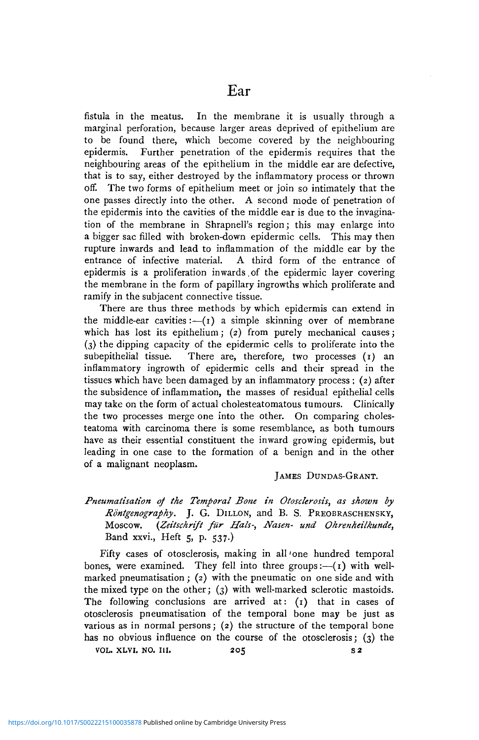fistula in the meatus. In the membrane it is usually through a marginal perforation, because larger areas deprived of epithelium are to be found there, which become covered by the neighbouring epidermis. Further penetration of the epidermis requires that the neighbouring areas of the epithelium in the middle ear are defective, that is to say, either destroyed by the inflammatory process or thrown off. The two forms of epithelium meet or join so intimately that the one passes directly into the other. A second mode of penetration of the epidermis into the cavities of the middle ear is due to the invagination of the membrane in Shrapnell's region; this may enlarge into a bigger sac filled with broken-down epidermic cells. This may then rupture inwards and lead to inflammation of the middle ear by the entrance of infective material. A third form of the entrance of epidermis is a proliferation in wards, of the epidermic layer covering the membrane in the form of papillary ingrowths which proliferate and ramify in the subjacent connective tissue.

There are thus three methods by which epidermis can extend in the middle-ear cavities: $-(1)$  a simple skinning over of membrane which has lost its epithelium; (2) from purely mechanical causes; (3) the dipping capacity of the epidermic cells to proliferate into the subepithelial tissue. There are, therefore, two processes  $(r)$  an inflammatory ingrowth of epidermic cells and their spread in the tissues which have been damaged by an inflammatory process ; (2) after the subsidence of inflammation, the masses of residual epithelial cells may take on the form of actual cholesteatomatous tumours. Clinically the two processes merge one into the other. On comparing cholesteatoma with carcinoma there is some resemblance, as both tumours have as their essential constituent the inward growing epidermis, but leading in one case to the formation of a benign and in the other of a malignant neoplasm.

#### JAMES DUNDAS-GRANT.

*Pneumatisation of the Temporal Bone in Otosclerosis, as shown by Rontgenography.* J. G. DILLON, and B. S. PREOBRASCHENSKY, Moscow. *{Zeitschrift filr Hals-, Nasen- und Ohrenheilkunde,* Band xxvi., Heft 5, p. 537.)

Fifty cases of otosclerosis, making in all'one hundred temporal bones, were examined. They fell into three groups: $-(1)$  with wellmarked pneumatisation ; (2) with the pneumatic on one side and with the mixed type on the other; (3) with well-marked sclerotic mastoids. The following conclusions are arrived at: (1) that in cases of otosclerosis pneumatisation of the temporal bone may be just as various as in normal persons; (2) the structure of the temporal bone has no obvious influence on the course of the otosclerosis; (3) the vol. XLVI. NO. 111. 205 s<sup>2</sup>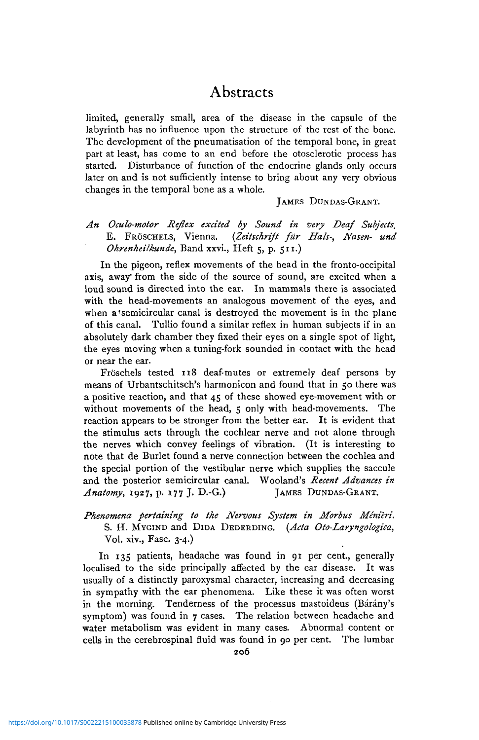limited, generally small, area of the disease in the capsule of the labyrinth has no influence upon the structure of the rest of the bone. The development of the pneumatisation of the temporal bone, in great part at least, has come to an end before the otosclerotic process has started. Disturbance of function of the endocrine glands only occurs later on and is not sufficiently intense to bring about any very obvious changes in the temporal bone as a whole.

#### JAMES DUNDAS-GRANT.

### *An Oculo-motor Reflex excited by Sound in very Deaf Subjects,* E. FROSCHELS, Vienna. *{Zeitschrift fur Hals-, Nasen- und Ohrenheilkunde,* Band xxvi., Heft 5, p. 511.)

In the pigeon, reflex movements of the head in the fronto-occipital axis, away' from the side of the source of sound, are excited when a loud sound is directed into the ear. In mammals there is associated with the head-movements an analogous movement of the eyes, and when a semicircular canal is destroyed the movement is in the plane of this canal. Tullio found a similar reflex in human subjects if in an absolutely dark chamber they fixed their eyes on a single spot of light, the eyes moving when a tuning-fork sounded in contact with the head or near the ear.

Fröschels tested 118 deaf-mutes or extremely deaf persons by means of Urbantschitsch's harmonicon and found that in 50 there was a positive reaction, and that 45 of these showed eye-movement with or without movements of the head, 5 only with head-movements. The reaction appears to be stronger from the better ear. It is evident that the stimulus acts through the cochlear nerve and not alone through the nerves which convey feelings of vibration. (It is interesting to note that de Burlet found a nerve connection between the cochlea and the special portion of the vestibular nerve which supplies the saccule and the posterior semicircular canal. Wooland's *Recent Advances in Anatomy,* 1927, p. 177 J. D.-G.) JAMES DUNDAS-GRANT.

### *Phenomena pertaining to the Nervous System in Morbus Minieri.* S. H. MYGIND and DIDA DEDERDING. *(Ada Oto-Laryngologica,* Vol. xiv., Fasc. 3-4.)

In 135 patients, headache was found in 91 per cent., generally localised to the side principally affected by the ear disease. It was usually of a distinctly paroxysmal character, increasing and decreasing in sympathy with the ear phenomena. Like these it was often worst in the morning. Tenderness of the processus mastoideus (Bárány's symptom) was found in  $7$  cases. The relation between headache and water metabolism was evident in many cases. Abnormal content or cells in the cerebrospinal fluid was found in 90 per cent. The lumbar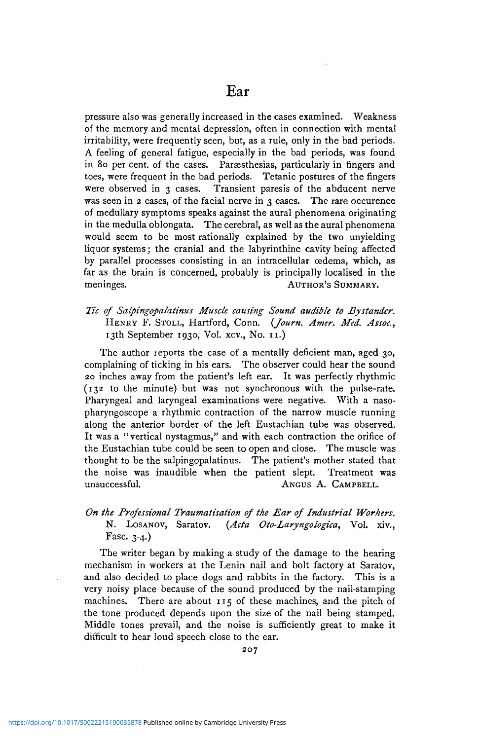pressure also was generally increased in the cases examined. Weakness of the memory and mental depression, often in connection with mental irritability, were frequently seen, but, as a rule, only in the bad periods. A feeling of general fatigue, especially in the bad periods, was found in 80 per cent, of the cases. Paraesthesias, particularly in fingers and toes, were frequent in the bad periods. Tetanic postures of the fingers were observed in 3 cases. Transient paresis of the abducent nerve was seen in 2 cases, of the facial nerve in 3 cases. The rare occurence of medullary symptoms speaks against the aural phenomena originating in the medulla oblongata. The cerebral, as well as the aural phenomena would seem to be most rationally explained by the two unyielding liquor systems; the cranial and the labyrinthine cavity being affected by parallel processes consisting in an intracellular oedema, which, as far as the brain is concerned, probably is principally localised in the meninges. AUTHOR'S SUMMARY.

*Tic of Salpingopalatinus Muscle causing Sound audible to Bystander.* HENRY F. STOLL, Hartford, Conn. *(Journ. Amer. Med. Assoc,* 13th September 1930, Vol. xcv., No. 11.)

The author reports the case of a mentally deficient man, aged 30, complaining of ticking in his ears. The observer could hear the sound 20 inches away from the patient's left ear. It was perfectly rhythmic (132 to the minute) but was not synchronous with the pulse-rate. Pharyngeal and laryngeal examinations were negative. With a nasopharyngoscope a rhythmic contraction of the narrow muscle running along the anterior border of the left Eustachian tube was observed. It was a "vertical nystagmus," and with each contraction the orifice of the Eustachian tube could be seen to open and close. The muscle was thought to be the salpingopalatinus. The patient's mother stated that the noise was inaudible when the patient slept. Treatment was unsuccessful. ANGUS A. CAMPBELL.

### *On the Professional Traumatisation of the Ear of Industrial Workers.* N. LOSANOV, Saratov. *(Acta Oto-Laryngologica,* Vol. xiv., Fasc. 3-4.)

The writer began by making a study of the damage to the hearing mechanism in workers at the Lenin nail and bolt factory at Saratov, and also decided to place dogs and rabbits in the factory. This is a very noisy place because of the sound produced by the nail-stamping machines. There are about 115 of these machines, and the pitch of the tone produced depends upon the size of the nail being stamped. Middle tones prevail, and the noise is sufficiently great to make it difficult to hear loud speech close to the ear.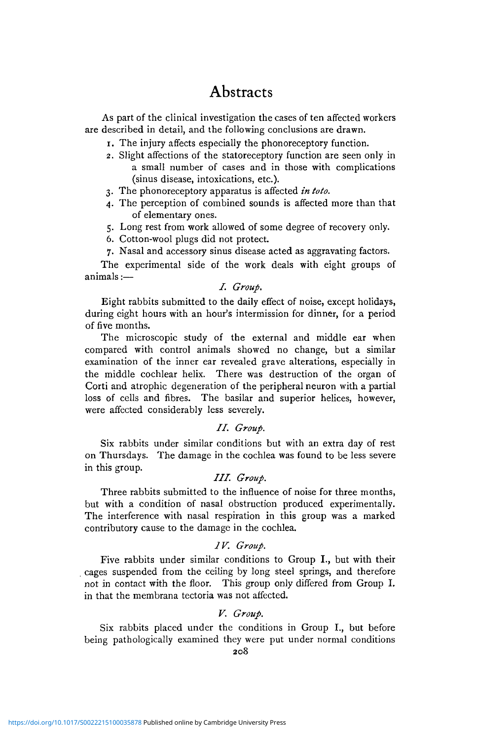As part of the clinical investigation the cases of ten affected workers are described in detail, and the following conclusions are drawn.

- 1. The injury affects especially the phonoreceptory function.
- 2. Slight affections of the statoreceptory function are seen only in a small number of cases and in those with complications (sinus disease, intoxications, etc.).
- 3. The phonoreceptory apparatus is affected *in toto.*
- 4. The perception of combined sounds is affected more than that of elementary ones.
- 5. Long rest from work allowed of some degree of recovery only.
- 6. Cotton-wool plugs did not protect.
- 7. Nasal and accessory sinus disease acted as aggravating factors.

The experimental side of the work deals with eight groups of animals:—

#### *I. Group.*

Eight rabbits submitted to the daily effect of noise, except holidays, during eight hours with an hour's intermission for dinner, for a period of five months.

The microscopic study of the external and middle ear when compared with control animals showed no change, but a similar examination of the inner ear revealed grave alterations, especially in the middle cochlear helix. There was destruction of the organ of Corti and atrophic degeneration of the peripheral neuron with a partial loss of cells and fibres. The basilar and superior helices, however, were affected considerably less severely.

#### //. *Group.*

Six rabbits under similar conditions but with an extra day of rest on Thursdays. The damage in the cochlea was found to be less severe in this group.

### ///. *Group.*

Three rabbits submitted to the influence of noise for three months, but with a condition of nasal obstruction produced experimentally. The interference with nasal respiration in this group was a marked contributory cause to the damage in the cochlea.

#### *IV. Group.*

Five rabbits under similar conditions to Group I., but with their cages suspended from the ceiling by long steel springs, and therefore not in contact with the floor. This group only differed from Group I. in that the membrana tectoria was not affected.

#### *V. Group.*

Six rabbits placed under the conditions in Group I., but before being pathologically examined they were put under normal conditions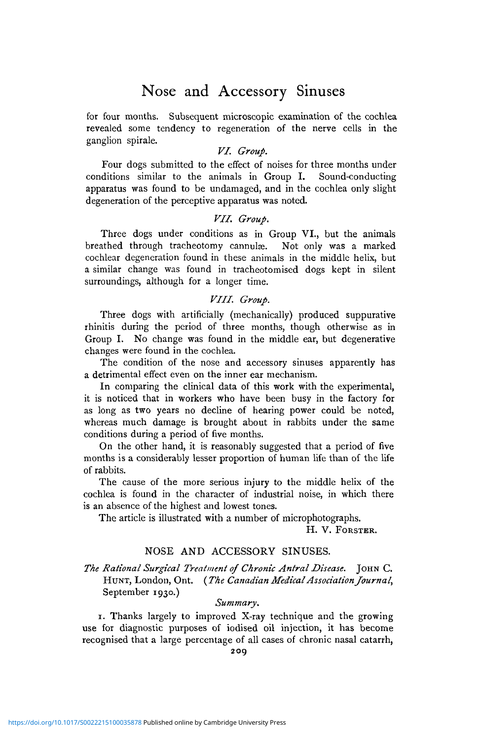## Nose and Accessory Sinuses

for four months. Subsequent microscopic examination of the cochlea revealed some tendency to regeneration of the nerve cells in the ganglion spirale.

#### *VI. Group.*

Four dogs submitted to the effect of noises for three months under conditions similar to the animals in Group I. Sound-conducting apparatus was found to be undamaged, and in the cochlea only slight degeneration of the perceptive apparatus was noted.

#### *VII. Group.*

Three dogs under conditions as in Group VI., but the animals breathed through tracheotomy cannulæ. Not only was a marked cochlear degeneration found in these animals in the middle helix, but a similar change was found in tracheotomised dogs kept in silent surroundings, although for a longer time.

### *VIII. Group.*

Three dogs with artificially (mechanically) produced suppurative rhinitis during the period of three months, though otherwise as in Group I. No change was found in the middle ear, but degenerative changes were found in the cochlea.

The condition of the nose and accessory sinuses apparently has a detrimental effect even on the inner ear mechanism.

In comparing the clinical data of this work with the experimental, it is noticed that in workers who have been busy in the factory for as long as two years no decline of hearing power could be noted, whereas much damage is brought about in rabbits under the same conditions during a period of five months.

On the other hand, it is reasonably suggested that a period of five months is a considerably lesser proportion of human life than of the life of rabbits.

The cause of the more serious injury to the middle helix of the cochlea is found in the character of industrial noise, in which there is an absence of the highest and lowest tones.

The article is illustrated with a number of microphotographs.

H. V. FORSTER.

### NOSE AND ACCESSORY SINUSES.

#### *The Rational Surgical Treatment of Chronic Antral Disease.* JOHN C. HUNT, London, Ont. *{The Canadian Medical Association Journal,* September 1930.)

#### *Summary.*

1. Thanks largely to improved X-ray technique and the growing use for diagnostic purposes of iodised oil injection, it has become recognised that a large percentage of all cases of chronic nasal catarrh,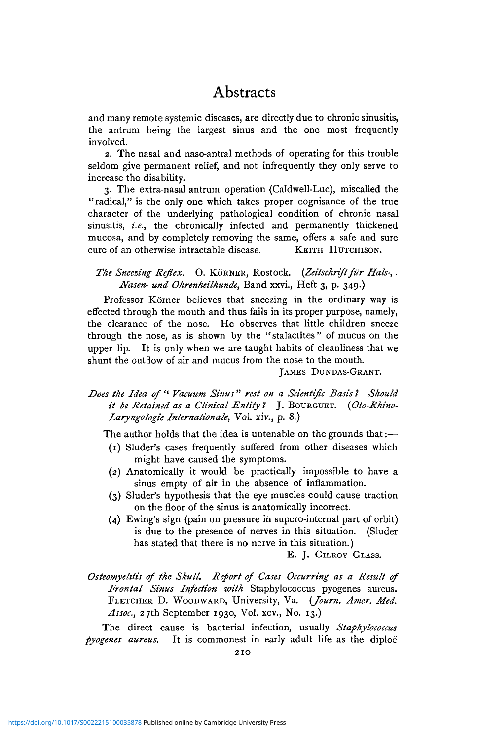and many remote systemic diseases, are directly due to chronic sinusitis, the antrum being the largest sinus and the one most frequently involved.

2. The nasal and naso-antral methods of operating for this trouble seldom give permanent relief, and not infrequently they only serve to increase the disability.

3. The extra-nasal antrum operation (Caldwell-Luc), miscalled the "radical," is the only one which takes proper cognisance of the true character of the underlying pathological condition of chronic nasal sinusitis, *i.e.*, the chronically infected and permanently thickened mucosa, and by completely removing the same, offers a safe and sure cure of an otherwise intractable disease. KEITH HUTCHISON.

#### The Sneezing Reflex. O. KÖRNER, Rostock. (Zeitschrift für Hals-, . *Nasen- und Ohrenheilkunde,* Band xxvi., Heft 3, p. 349.)

Professor Körner believes that sneezing in the ordinary way is effected through the mouth and thus fails in its proper purpose, namely, the clearance of the nose. He observes that little children sneeze through the nose, as is shown by the "stalactites" of mucus on the upper lip. It is only when we are taught habits of cleanliness that we shunt the outflow of air and mucus from the nose to the mouth.

JAMES DUNDAS-GRANT.

*Does the Idea of* " *Vacuum Sinus" rest on a Scientific Basis'! Should it be Retained as a Clinical Entity 1* J. BOURGUET. *(Oto-Rhino-Laryngologie Internationale,* Vol. xiv., p. 8.)

The author holds that the idea is untenable on the grounds that:—

- (1) Sluder's cases frequently suffered from other diseases which might have caused the symptoms.
- (2) Anatomically it would be practically impossible to have a sinus empty of air in the absence of inflammation.
- (3) Sluder's hypothesis that the eye muscles could cause traction on the floor of the sinus is anatomically incorrect.
- (4) Ewing's sign (pain on pressure in supero-internal part of orbit) is due to the presence of nerves in this situation. (Sluder has stated that there is no nerve in this situation.)

E. J. GILROY GLASS.

*Osteomyelitis of the Skull. Report of Cases Occurring as a Result of Frontal Sinus Infection with* Staphylococcus pyogenes aureus. FLETCHER D. WOODWARD, University, Va. *(Journ. Amer. Med.* Assoc., 27th September 1930, Vol. xcv., No. 13.)

The direct cause is bacterial infection, usually *Staphylococcus pyogenes aureus.* It is commonest in early adult life as the diploe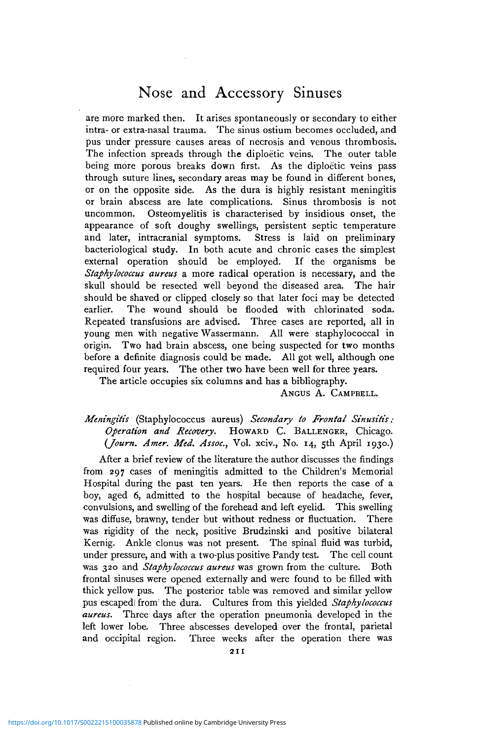## Nose and Accessory Sinuses

are more marked then. It arises spontaneously or secondary to either intra- or extra-nasal trauma. The sinus ostium becomes occluded, and pus under pressure causes areas of necrosis and venous thrombosis. The infection spreads through the diploetic veins. The outer table being more porous breaks down first. As the diploetic veins pass through suture lines, secondary areas may be found in different bones, or on the opposite side. As the dura is highly resistant meningitis or brain abscess are late complications. Sinus thrombosis is not uncommon. Osteomyelitis is characterised by insidious onset, the appearance of soft doughy swellings, persistent septic temperature and later, intracranial symptoms. Stress is laid on preliminary bacteriological study. In both acute and chronic cases the simplest external operation should be employed. If the organisms be *Staphylococcus aureus* a more radical operation is necessary, and the skull should be resected well beyond the diseased area. The hair should be shaved or clipped closely so that later foci may be detected earlier. The wound should be flooded with chlorinated soda. Repeated transfusions are advised. Three cases are reported, all in young men with negative Wassermann. All were staphylococcal in origin. Two had brain abscess, one being suspected for two months before a definite diagnosis could be made. All got well, although one required four years. The other two have been well for three years.

The article occupies six columns and has a bibliography.

ANGUS A. CAMPBELL.

*Meningitis* (Staphylococcus aureus) *Secondary to Frontal Sinusitis: Operation and Recovery.* HOWARD C. BALLENGER, Chicago. *{Journ. Amer. Med. Assoc,* Vol. xciv., No. 14, 5th April 1930.)

After a brief review of the literature the author discusses the findings from 297 cases of meningitis admitted to the Children's Memorial Hospital during the past ten years. He then reports the case of a boy, aged 6, admitted to the hospital because of headache, fever, convulsions, and swelling of the forehead and left eyelid. This swelling was diffuse, brawny, tender but without redness or fluctuation. There was rigidity of the neck, positive Brudzinski and positive bilateral Kernig. Ankle clonus was not present. The spinal fluid was turbid, under pressure, and with a two-plus positive Pandy test. The cell count was 320 and *Staphylococcus aureus* was grown from the culture. Both frontal sinuses were opened externally and were found to be filled with thick yellow pus. The posterior table was removed and similar yellow pus escaped! from: the dura. Cultures from this yielded *Staphylococcus aureus.* Three days after the operation pneumonia developed in the left lower lobe. Three abscesses developed over the frontal, parietal and occipital region. Three weeks after the operation there was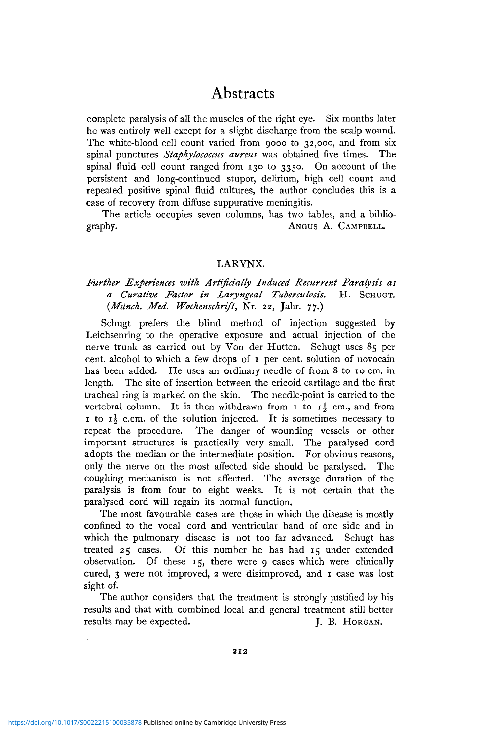complete paralysis of all the muscles of the right eye. Six months later he was entirely well except for a slight discharge from the scalp wound. The white-blood cell count varied from 9000 to 32,000, and from six spinal punctures *Staphylococcus aureus* was obtained five times. The spinal fluid cell count ranged from 130 to 3350. On account of the persistent and long-continued stupor, delirium, high cell count and repeated positive spinal fluid cultures, the author concludes this is a case of recovery from diffuse suppurative meningitis.

The article occupies seven columns, has two tables, and a bibliography. ANGUS A. CAMPBELL.

#### LARYNX.

## *Further Experiences with Artificially Induced Recurrent Paralysis as a Curative Factor in Laryngeal Tuberculosis.* H. SCHUGT. *{Miinch. Med. Wochenschrift,* Nr. 22, Jahr. 77.)

Schugt prefers the blind method of injection suggested by Leichsenring to the operative exposure and actual injection of the nerve trunk as carried out by Von der Hutten. Schugt uses 85 per cent, alcohol to which a few drops of 1 per cent, solution of novocain has been added. He uses an ordinary needle of from 8 to 10 cm. in length. The site of insertion between the cricoid cartilage and the first tracheal ring is marked on the skin. The needle-point is carried to the vertebral column. It is then withdrawn from  $\mathbf{r}$  to  $\mathbf{r}^1$  cm., and from 1 to  $\mathbf{r}^1$  c.cm. of the solution injected. It is sometimes necessary to repeat the procedure. The danger of wounding vessels or other important structures is practically very small. The paralysed cord adopts the median or the intermediate position. For obvious reasons, only the nerve on the most affected side should be paralysed. The coughing mechanism is not affected. The average duration of the paralysis is from four to eight weeks. It is not certain that the paralysed cord will regain its normal function.

The most favourable cases are those in which the disease is mostly confined to the vocal cord and ventricular band of one side and in which the pulmonary disease is not too far advanced. Schugt has treated 25 cases. Of this number he has had 15 under extended observation. Of these 15, there were 9 cases which were clinically cured, 3 were not improved, 2 were disimproved, and 1 case was lost sight of.

The author considers that the treatment is strongly justified by his results and that with combined local and general treatment still better results may be expected. J. B. HORGAN.

**2 1 2**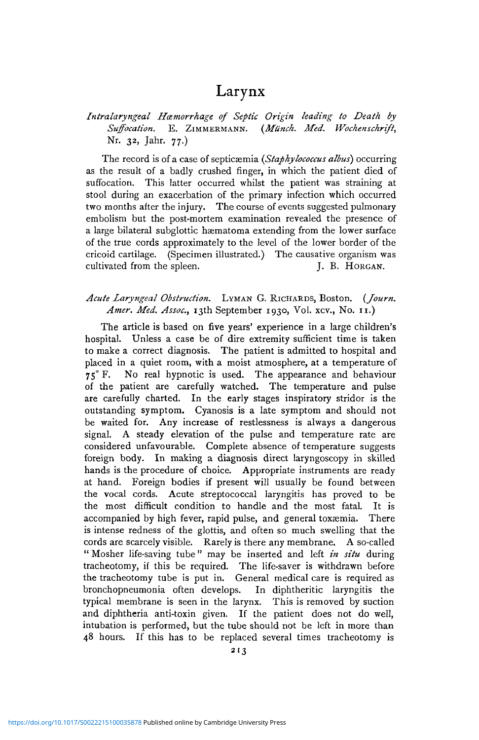## Larynx

## *Intralaryngeal Hamorrhage of Septic Origin leading to Death by Suffocation.* E. ZIMMERMANN. *(Mtinch. Med. Wochenschrift,* Nr. 32, Jahr. 77.)

The record is of a case of septicaemia *(Staphylococcus albus)* occurring as the result of a badly crushed finger, in which the patient died of suffocation. This latter occurred whilst the patient was straining at stool during an exacerbation of the primary infection which occurred two months after the injury. The course of events suggested pulmonary embolism but the post-mortem examination revealed the presence of a large bilateral subglottic haematoma extending from the lower surface of the true cords approximately to the level of the lower border of the cricoid cartilage. (Specimen illustrated.) The causative organism was cultivated from the spleen. J. B. HORGAN.

#### *Acute Laryngeal Obstruction.* LYMAN G. RICHARDS, Boston. *(Journ. Amer. Med. Assoc,* 13th September 1930, Vol. xcv., No. 11.)

The article is based on five years' experience in a large children's hospital. Unless a case be of dire extremity sufficient time is taken to make a correct diagnosis. The patient is admitted to hospital and placed in a quiet room, with a moist atmosphere, at a temperature of 75° F. No real hypnotic is used. The appearance and behaviour of the patient are carefully watched. The temperature and pulse are carefully charted. In the early stages inspiratory stridor is the outstanding symptom. Cyanosis is a late symptom and should not be waited for. Any increase of restlessness is always a dangerous signal. A steady elevation of the pulse and temperature rate are considered unfavourable. Complete absence of temperature suggests foreign body. In making a diagnosis direct laryngoscopy in skilled hands is the procedure of choice. Appropriate instruments are ready at hand. Foreign bodies if present will usually be found between the vocal cords. Acute streptococcal laryngitis has proved to be the most difficult condition to handle and the most fatal. It is accompanied by high fever, rapid pulse, and general toxaemia. There is intense redness of the glottis, and often so much swelling that the cords are scarcely visible. Rarely is there any membrane. A so-called " Mosher life-saving tube" may be inserted and left *in situ* during tracheotomy, if this be required. The life-saver is withdrawn before the tracheotomy tube is put in. General medical care is required as bronchopneumonia often develops. In diphtheritic laryngitis the typical membrane is seen in the larynx. This is removed by suction and diphtheria anti-toxin given. If the patient does not do well, intubation is performed, but the tube should not be left in more than 48 hours. If this has to be replaced several times tracheotomy is

**2 1 3**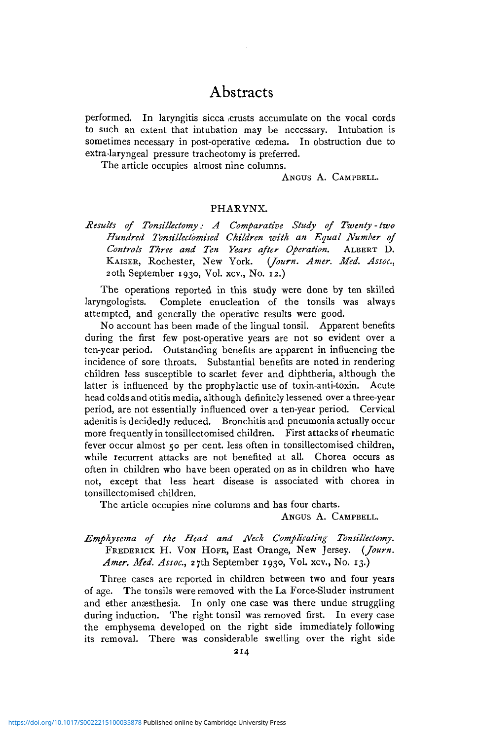performed. In laryngitis sicca .crusts accumulate on the vocal cords to such an extent that intubation may be necessary. Intubation is sometimes necessary in post-operative cedema. In obstruction due to extra-laryngeal pressure tracheotomy is preferred.

The article occupies almost nine columns.

ANGUS A. CAMPBELL.

#### PHARYNX.

## *Results of Tonsillectomy: A Comparative Study of Twenty - two Hundred Tonsillectomised Children with an Equal Number of Controls Three and Ten Years after Operation.* ALBERT D. KAISER, Rochester, New York. 20th September 1930, Vol. xcv., No. 12.)

The operations reported in this study were done by ten skilled laryngologists. Complete enucleation of the tonsils was always attempted, and generally the operative results were good.

No account has been made of the lingual tonsil. Apparent benefits during the first few post-operative years are not so evident over a ten-year period. Outstanding benefits are apparent in influencing the incidence of sore throats. Substantial benefits are noted in rendering children less susceptible to scarlet fever and diphtheria, although the latter is influenced by the prophylactic use of toxin-anti-toxin. Acute head colds and otitis media, although definitely lessened over a three-year period, are not essentially influenced over a ten-year period. Cervical adenitis is decidedly reduced. Bronchitis and pneumonia actually occur more frequently in tonsillectomised children. First attacks of rheumatic fever occur almost 50 per cent. less often in tonsillectomised children, while recurrent attacks are not benefited at all. Chorea occurs as often in children who have been operated on as in children who have not, except that less heart disease is associated with chorea in tonsillectomised children.

The article occupies nine columns and has four charts.

ANGUS A. CAMPBELL.

#### *Emphysema of the Head and Neck Complicating Tonsillectomy.* FREDERICK H. VON HOFE, East Orange, New Jersey. *{Journ. Amer. Med. Assoc,* 27th September 1930, Vol. xcv., No. 13.)

Three cases are reported in children between two and four years of age. The tonsils were removed with the La Force-Sluder instrument and ether anæsthesia. In only one case was there undue struggling during induction. The right tonsil was removed first. In every case the emphysema developed on the right side immediately following its removal. There was considerable swelling over the right side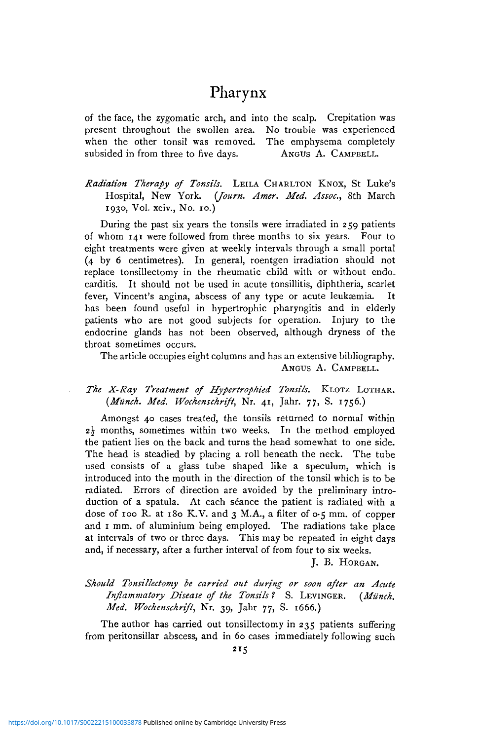## Pharynx

of the face, the zygomatic arch, and into the scalp. Crepitation was present throughout the swollen area. No trouble was experienced when the other tonsil was removed. The emphysema completely subsided in from three to five days. ANGUS A. CAMPBELL.

### *Radiation Therapy of Tonsils.* LEILA CHARLTON KNOX, St Luke's Hospital, New York. *(Journ. Amer. Med. Assoc,* 8th March 1930, Vol. xciv., No. 10.)

During the past six years the tonsils were irradiated in 259 patients of whom 141 were followed from three months to six years. Four to eight treatments were given at weekly intervals through a small portal (4 by 6 centimetres). In general, roentgen irradiation should not replace tonsillectomy in the rheumatic child with or without endocarditis. It should not be used in acute tonsillitis, diphtheria, scarlet fever, Vincent's angina, abscess of any type or acute leukæmia. It has been found useful in hypertrophic pharyngitis and in elderly patients who are not good subjects for operation. Injury to the endocrine glands has not been observed, although dryness of the throat sometimes occurs.

The article occupies eight columns and has an extensive bibliography. ANGUS A. CAMPBELL.

#### *The X-Ray Treatment of Hypertrophied Tonsils.* KLOTZ LOTHAR. *(Munch. Med. Wochenschrift,* Nr. 41, Jahr. 77, S. 1756.)

Amongst 40 cases treated, the tonsils returned to normal within *2\* months, sometimes within two weeks. In the method employed the patient lies on the back and turns the head somewhat to one side. The head is steadied by placing a roll beneath the neck. The tube used consists of a glass tube shaped like a speculum, which is introduced into the mouth in the direction of the tonsil which is to be radiated. Errors of direction are avoided by the preliminary introduction of a spatula. At each séance the patient is radiated with a dose of 100 R. at 180 K.V. and 3 M.A., a filter of 0.5 mm. of copper and 1 mm. of aluminium being employed. The radiations take place at intervals of two or three days. This may be repeated in eight days and, if necessary, after a further interval of from four to six weeks.

J. B. HORGAN.

## *Should Tonsillectomy be carried out during or soon after an Acute Inflammatory Disease of the Tonsils 1* S. LEVINGER. *(Miinch. Med. Wochenschrift,* Nr. 39, Jahr 77, S. 1666.)

The author has carried out tonsillectomy in 235 patients suffering from peritonsillar abscess, and in 60 cases immediately following such

**2 I5**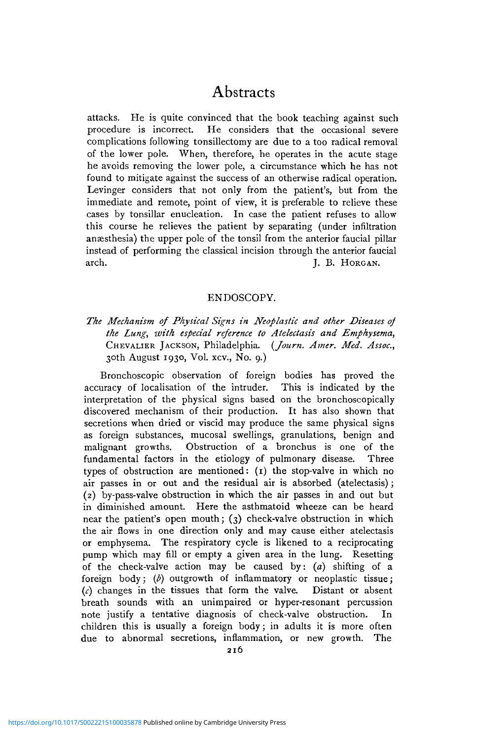attacks. He is quite convinced that the book teaching against such procedure is incorrect. He considers that the occasional severe complications following tonsillectomy are due to a too radical removal of the lower pole. When, therefore, he operates in the acute stage he avoids removing the lower pole, a circumstance which he has not found to mitigate against the success of an otherwise radical operation. Levinger considers that not only from the patient's, but from the immediate and remote, point of view, it is preferable to relieve these cases by tonsillar enucleation. In case the patient refuses to allow this course he relieves the patient by separating (under infiltration anaesthesia) the upper pole of the tonsil from the anterior faucial pillar instead of performing the classical incision through the anterior faucial arch. J. B. HORGAN.

#### ENDOSCOPY.

## *The Mechanism of Physical Signs in Neoplastic and other Diseases of the Lung, with especial reference to Atelectasis and Emphysema,* CHEVALIER JACKSON, Philadelphia. *(Journ. Amer. Med. Assoc,* 30th August 1930, Vol. xcv., No. 9.)

Bronchoscopic observation of foreign bodies has proved the accuracy of localisation of the intruder. This is indicated by the interpretation of the physical signs based on the bronchoscopically discovered mechanism of their production. It has also shown that secretions when dried or viscid may produce the same physical signs as foreign substances, mucosal swellings, granulations, benign and malignant growths. Obstruction of a bronchus is one of the fundamental factors in the etiology of pulmonary disease. Three types of obstruction are mentioned: (1) the stop-valve in which no air passes in or out and the residual air is absorbed (atelectasis); (2) by-pass-valve obstruction in which the air passes in and out but in diminished amount. Here the asthmatoid wheeze can be heard near the patient's open mouth; (3) check-valve obstruction in which the air flows in one direction only and may cause either atelectasis or emphysema. The respiratory cycle is likened to a reciprocating pump which may fill or empty a given area in the lung. Resetting of the check-valve action may be caused by: *(a)* shifting of a foreign body; *(b)* outgrowth of inflammatory or neoplastic tissue;  $(c)$  changes in the tissues that form the valve. Distant or absent breath sounds with an unimpaired or hyper-resonant percussion note justify a tentative diagnosis of check-valve obstruction. In children this is usually a foreign body; in adults it is more often due to abnormal secretions, inflammation, or new growth. The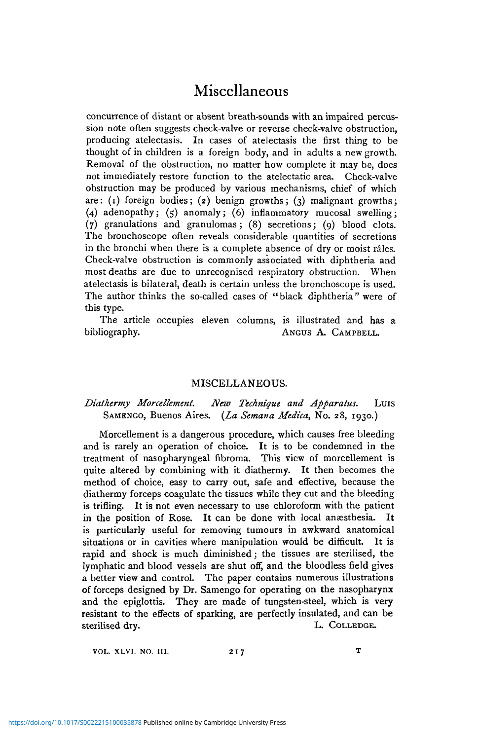# Miscellaneous

concurrence of distant or absent breath-sounds with an impaired percussion note often suggests check-valve or reverse check-valve obstruction, producing atelectasis. In cases of atelectasis the first thing to be thought of in children is a foreign body, and in adults a new growth. Removal of the obstruction, no matter how complete it may be, does not immediately restore function to the atelectatic area. Check-valve obstruction may be produced by various mechanisms, chief of which are: (i) foreign bodies; (2) benign growths; (3) malignant growths; (4) adenopathy; (5) anomaly; (6) inflammatory mucosal swelling; (7) granulations and granulomas; (8) secretions; (9) blood clots. The bronchoscope often reveals considerable quantities of secretions in the bronchi when there is a complete absence of dry or moist rales. Check-valve obstruction is commonly associated with diphtheria and most deaths are due to unrecognised respiratory obstruction. When atelectasis is bilateral, death is certain unless the bronchoscope is used. The author thinks the so-called cases of "black diphtheria" were of this type.

The article occupies eleven columns, is illustrated and has a bibliography. ANGUS A. CAMPBELL.

#### MISCELLANEOUS.

#### *Diathermy Morcellement. New Technique and Apparatus.* Luis SAMENGO, Buenos Aires. *(La Semana Medica,* No. 28, 1930.)

Morcellement is a dangerous procedure, which causes free bleeding and is rarely an operation of choice. It is to be condemned in the treatment of nasopharyngeal fibroma. This view of morcellement is quite altered by combining with it diathermy. It then becomes the method of choice, easy to carry out, safe and effective, because the diathermy forceps coagulate the tissues while they cut and the bleeding is trifling. It is not even necessary to use chloroform with the patient in the position of Rose. It can be done with local anaesthesia. It is particularly useful for removing tumours in awkward anatomical situations or in cavities where manipulation would be difficult. It is rapid and shock is much diminished; the tissues are sterilised, the lymphatic and blood vessels are shut off, and the bloodless field gives a better view and control. The paper contains numerous illustrations of forceps designed by Dr. Samengo for operating on the nasopharynx and the epiglottis. They are made of tungsten-steel, which is very resistant to the effects of sparking, are perfectly insulated, and can be sterilised dry. L. COLLEDGE.

VOL. XLVI. NO. III. 217 T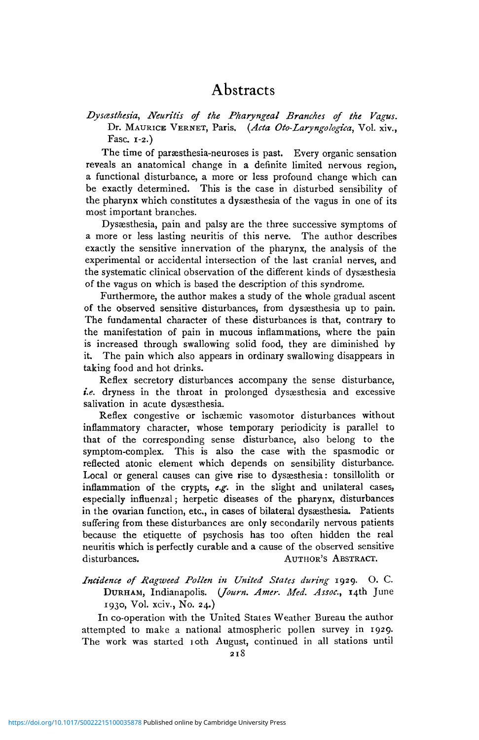*Dysasthesia, Neuritis of the Pharyngeal Branches of the Vagus.* Dr. MAURICE VERNET, Paris. *(Ada Oto-Laryngologica,* Vol. xiv., Fasc. 1-2.)

The time of paraesthesia-neuroses is past. Every organic sensation reveals an anatomical change in a definite limited nervous region, a functional disturbance, a more or less profound change which can be exactly determined. This is the case in disturbed sensibility of the pharynx which constitutes a dyssesthesia of the vagus in one of its most important branches.

Dyssesthesia, pain and palsy are the three successive symptoms of a more or less lasting neuritis of this nerve. The author describes exactly the sensitive innervation of the pharynx, the analysis of the experimental or accidental intersection of the last cranial nerves, and the systematic clinical observation of the different kinds of dyssesthesia of the vagus on which is based the description of this syndrome.

Furthermore, the author makes a study of the whole gradual ascent of the observed sensitive disturbances, from dysaesthesia up to pain. The fundamental character of these disturbances is that, contrary to the manifestation of pain in mucous inflammations, where the pain is increased through swallowing solid food, they are diminished by it. The pain which also appears in ordinary swallowing disappears in taking food and hot drinks.

Reflex secretory disturbances accompany the sense disturbance, *i.e.* dryness in the throat in prolonged dysæsthesia and excessive salivation in acute dysaesthesia.

Reflex congestive or ischæmic vasomotor disturbances without inflammatory character, whose temporary periodicity is parallel to that of the corresponding sense disturbance, also belong to the symptom-complex. This is also the case with the spasmodic or reflected atonic element which depends on sensibility disturbance. Local or general causes can give rise to dysæsthesia: tonsillolith or inflammation of the crypts, *e.g.* in the slight and unilateral cases, especially influenzal; herpetic diseases of the pharynx, disturbances in the ovarian function, etc, in cases of bilateral dysaesthesia. Patients suffering from these disturbances are only secondarily nervous patients because the etiquette of psychosis has too often hidden the real neuritis which is perfectly curable and a cause of the observed sensitive disturbances. AUTHOR'S ABSTRACT.

*Incidence of Ragweed Pollen in United States during* 1929. O. C. DURHAM, Indianapolis. *(Journ. Amer. Med. Assoc,* 14th June 1930, Vol. xciv., No. 24.)

In co-operation with the United States Weather Bureau the author attempted to make a national atmospheric pollen survey in 1929. The work was started 10th August, continued in all stations until